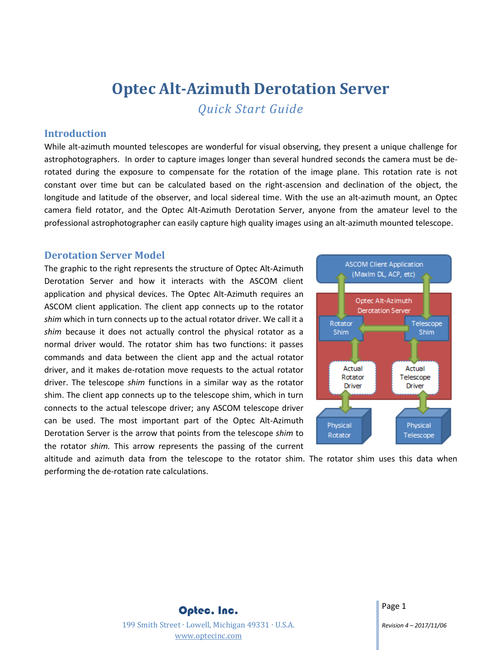# **Optec Alt-Azimuth Derotation Server** *Quick Start Guide*

### **Introduction**

While alt-azimuth mounted telescopes are wonderful for visual observing, they present a unique challenge for astrophotographers. In order to capture images longer than several hundred seconds the camera must be derotated during the exposure to compensate for the rotation of the image plane. This rotation rate is not constant over time but can be calculated based on the right-ascension and declination of the object, the longitude and latitude of the observer, and local sidereal time. With the use an alt-azimuth mount, an Optec camera field rotator, and the Optec Alt-Azimuth Derotation Server, anyone from the amateur level to the professional astrophotographer can easily capture high quality images using an alt-azimuth mounted telescope.

### **Derotation Server Model**

The graphic to the right represents the structure of Optec Alt-Azimuth Derotation Server and how it interacts with the ASCOM client application and physical devices. The Optec Alt-Azimuth requires an ASCOM client application. The client app connects up to the rotator *shim* which in turn connects up to the actual rotator driver. We call it a *shim* because it does not actually control the physical rotator as a normal driver would. The rotator shim has two functions: it passes commands and data between the client app and the actual rotator driver, and it makes de-rotation move requests to the actual rotator driver. The telescope *shim* functions in a similar way as the rotator shim. The client app connects up to the telescope shim, which in turn connects to the actual telescope driver; any ASCOM telescope driver can be used. The most important part of the Optec Alt-Azimuth Derotation Server is the arrow that points from the telescope *shim* to the rotator *shim.* This arrow represents the passing of the current



altitude and azimuth data from the telescope to the rotator shim. The rotator shim uses this data when performing the de-rotation rate calculations.

> Optec, Inc. 199 Smith Street ∙ Lowell, Michigan 49331 ∙ U.S.A. [www.optecinc.com](file://///Epsilon/data/Engineering/Project%20Planning%20Docs/Alt-Az%20Derotation%20Server/www.optecinc.com)

Page 1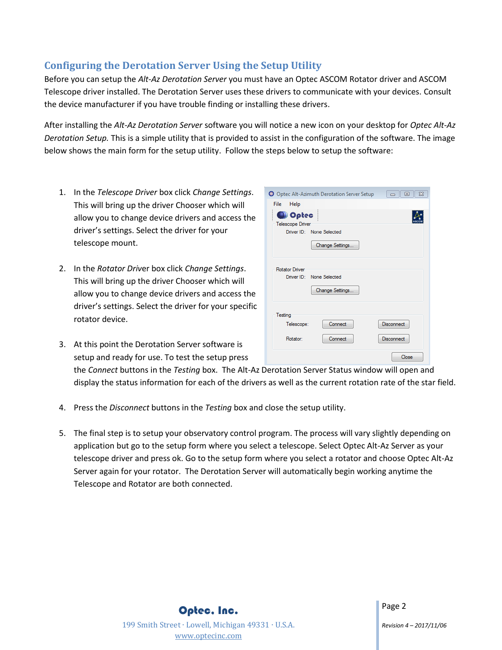## **Configuring the Derotation Server Using the Setup Utility**

Before you can setup the *Alt-Az Derotation Server* you must have an Optec ASCOM Rotator driver and ASCOM Telescope driver installed. The Derotation Server uses these drivers to communicate with your devices. Consult the device manufacturer if you have trouble finding or installing these drivers.

After installing the *Alt-Az Derotation Server* software you will notice a new icon on your desktop for *Optec Alt-Az Derotation Setup.* This is a simple utility that is provided to assist in the configuration of the software. The image below shows the main form for the setup utility. Follow the steps below to setup the software:

- 1. In the *Telescope Driver* box click *Change Settings*. This will bring up the driver Chooser which will allow you to change device drivers and access the driver's settings. Select the driver for your telescope mount.
- 2. In the *Rotator Driv*er box click *Change Settings*. This will bring up the driver Chooser which will allow you to change device drivers and access the driver's settings. Select the driver for your specific rotator device.
- 3. At this point the Derotation Server software is setup and ready for use. To test the setup press

| O Optec Alt-Azimuth Derotation Server Setup<br>$\Sigma$<br>回<br>$\Box$ |  |  |  |
|------------------------------------------------------------------------|--|--|--|
| Help<br>File                                                           |  |  |  |
| <b>O</b> Optec                                                         |  |  |  |
| <b>Telescope Driver</b>                                                |  |  |  |
| Driver ID: None Selected                                               |  |  |  |
| Change Settings                                                        |  |  |  |
| <b>Rotator Driver</b><br>Driver ID: None Selected                      |  |  |  |
| Change Settings                                                        |  |  |  |
| Testing                                                                |  |  |  |
| Disconnect<br>Connect<br>Telescope:                                    |  |  |  |
| Connect<br>Disconnect<br>Rotator:                                      |  |  |  |
| Close                                                                  |  |  |  |

the *Connect* buttons in the *Testing* box. The Alt-Az Derotation Server Status window will open and display the status information for each of the drivers as well as the current rotation rate of the star field.

- 4. Press the *Disconnect* buttons in the *Testing* box and close the setup utility.
- 5. The final step is to setup your observatory control program. The process will vary slightly depending on application but go to the setup form where you select a telescope. Select Optec Alt-Az Server as your telescope driver and press ok. Go to the setup form where you select a rotator and choose Optec Alt-Az Server again for your rotator. The Derotation Server will automatically begin working anytime the Telescope and Rotator are both connected.

Optec, Inc. 199 Smith Street ∙ Lowell, Michigan 49331 ∙ U.S.A. [www.optecinc.com](file://///Epsilon/data/Engineering/Project%20Planning%20Docs/Alt-Az%20Derotation%20Server/www.optecinc.com)

Page 2

*Revision 4 – 2017/11/06*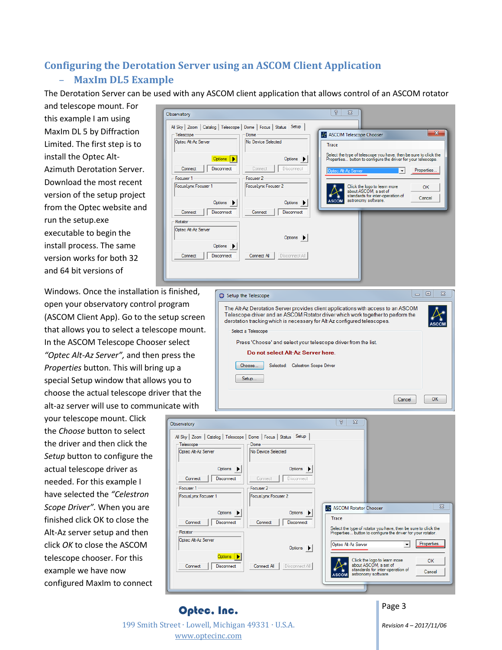## **Configuring the Derotation Server using an ASCOM Client Application** – **MaxIm DL5 Example**

 $\overline{O}$ 

The Derotation Server can be used with any ASCOM client application that allows control of an ASCOM rotator

and telescope mount. For this example I am using MaxIm DL 5 by Diffraction Limited. The first step is to install the Optec Alt-Azimuth Derotation Server. Download the most recent version of the setup project from the Optec website and run the setup.exe executable to begin the install process. The same version works for both 32 and 64 bit versions of

Windows. Once the installation is finished, open your observatory control program (ASCOM Client App). Go to the setup screen that allows you to select a telescope mount. In the ASCOM Telescope Chooser select *"Optec Alt-Az Server",* and then press the *Properties* button. This will bring up a special Setup window that allows you to choose the actual telescope driver that the alt-az server will use to communicate with

your telescope mount. Click the *Choose* button to select the driver and then click the *Setup* button to configure the actual telescope driver as needed. For this example I have selected the *"Celestron Scope Driver".* When you are finished click OK to close the Alt-Az server setup and then click *OK* to close the ASCOM telescope chooser. For this example we have now configured MaxIm to connect

| servatory                                                                                                  |                                                        | 2<br>$\overline{\mathbb{Z}}$                                                                                                                                                         |
|------------------------------------------------------------------------------------------------------------|--------------------------------------------------------|--------------------------------------------------------------------------------------------------------------------------------------------------------------------------------------|
| All Sky   Zoom   Catalog   Telescope   Dome   Focus   Status   Setup<br>- Telescope<br>Optec Alt-Az Server | Dome<br>No Device Selected                             | $\mathbf{x}$<br>A ASCOM Telescope Chooser                                                                                                                                            |
| Options  <br>Connect<br><b>Disconnect</b>                                                                  | Options $\blacktriangleright$<br>Connect<br>Disconnect | Trace<br>Select the type of telescope you have, then be sure to click the<br>Properties button to configure the driver for your telescope.<br>Properties<br>Optec Alt-Az Server<br>▼ |
| Focuser 1<br>FocusLynx Focuser 1                                                                           | Focuser 2<br>FocusLynx Focuser 2                       | Click the logo to learn more<br>OK<br>about ASCOM, a set of<br>standards for inter-operation of<br>Cancel<br>astronomy software.                                                     |
| Options ><br>Connect<br><b>Disconnect</b><br>Rotator                                                       | Options $\rightarrow$<br>Connect<br><b>Disconnect</b>  | <b>ASCOM</b>                                                                                                                                                                         |
| Optec Alt-Az Server<br>Options $\blacktriangleright$                                                       | Options >                                              |                                                                                                                                                                                      |
| Connect<br><b>Disconnect</b>                                                                               | Connect All<br>Disconnect All                          |                                                                                                                                                                                      |
|                                                                                                            |                                                        |                                                                                                                                                                                      |





## Page 3

199 Smith Street ∙ Lowell, Michigan 49331 ∙ U.S.A. [www.optecinc.com](file://///Epsilon/data/Engineering/Project%20Planning%20Docs/Alt-Az%20Derotation%20Server/www.optecinc.com)

Optec, Inc.

*Revision 4 – 2017/11/06*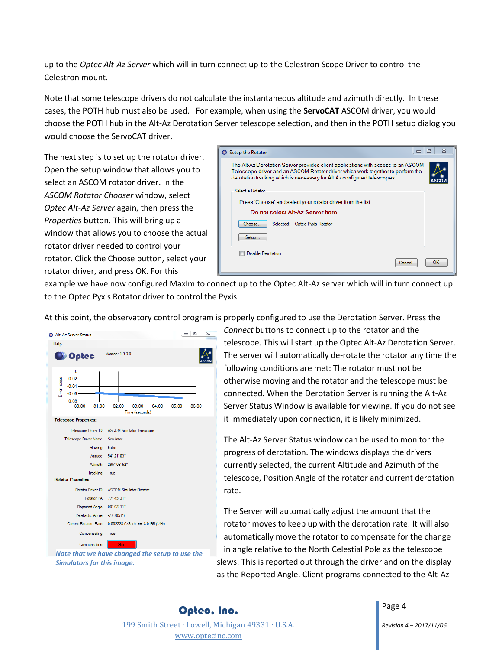up to the *Optec Alt-Az Server* which will in turn connect up to the Celestron Scope Driver to control the Celestron mount.

Note that some telescope drivers do not calculate the instantaneous altitude and azimuth directly. In these cases, the POTH hub must also be used. For example, when using the **ServoCAT** ASCOM driver, you would choose the POTH hub in the Alt-Az Derotation Server telescope selection, and then in the POTH setup dialog you would choose the ServoCAT driver.

The next step is to set up the rotator driver. Open the setup window that allows you to select an ASCOM rotator driver. In the *ASCOM Rotator Chooser* window, select *Optec Alt-Az Server* again, then press the *Properties* button. This will bring up a window that allows you to choose the actual rotator driver needed to control your rotator. Click the Choose button, select your rotator driver, and press OK. For this



example we have now configured MaxIm to connect up to the Optec Alt-Az server which will in turn connect up to the Optec Pyxis Rotator driver to control the Pyxis.

At this point, the observatory control program is properly configured to use the Derotation Server. Press the



*Note that we have changed the setup to use the Simulators for this image.*

*Connect* buttons to connect up to the rotator and the telescope. This will start up the Optec Alt-Az Derotation Server. The server will automatically de-rotate the rotator any time the following conditions are met: The rotator must not be otherwise moving and the rotator and the telescope must be connected. When the Derotation Server is running the Alt-Az Server Status Window is available for viewing. If you do not see it immediately upon connection, it is likely minimized.

The Alt-Az Server Status window can be used to monitor the progress of derotation. The windows displays the drivers currently selected, the current Altitude and Azimuth of the telescope, Position Angle of the rotator and current derotation rate.

The Server will automatically adjust the amount that the rotator moves to keep up with the derotation rate. It will also automatically move the rotator to compensate for the change in angle relative to the North Celestial Pole as the telescope slews. This is reported out through the driver and on the display as the Reported Angle. Client programs connected to the Alt-Az

Optec, Inc. 199 Smith Street ∙ Lowell, Michigan 49331 ∙ U.S.A. [www.optecinc.com](file://///Epsilon/data/Engineering/Project%20Planning%20Docs/Alt-Az%20Derotation%20Server/www.optecinc.com)

Page 4